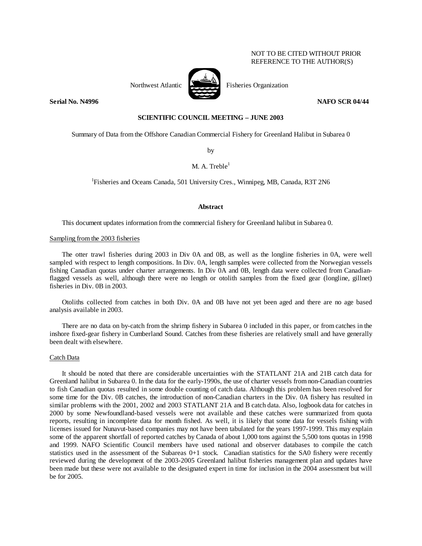## NOT TO BE CITED WITHOUT PRIOR REFERENCE TO THE AUTHOR(S)



Northwest Atlantic Fisheries Organization

**Serial No. N4996 NAFO SCR 04/44 NAFO SCR 04/44** 

# **SCIENTIFIC COUNCIL MEETING – JUNE 2003**

Summary of Data from the Offshore Canadian Commercial Fishery for Greenland Halibut in Subarea 0

by

# M. A. Treble $^1$

<sup>1</sup>Fisheries and Oceans Canada, 501 University Cres., Winnipeg, MB, Canada, R3T 2N6

## **Abstract**

This document updates information from the commercial fishery for Greenland halibut in Subarea 0.

### Sampling from the 2003 fisheries

The otter trawl fisheries during 2003 in Div 0A and 0B, as well as the longline fisheries in 0A, were well sampled with respect to length compositions. In Div. 0A, length samples were collected from the Norwegian vessels fishing Canadian quotas under charter arrangements. In Div 0A and 0B, length data were collected from Canadianflagged vessels as well, although there were no length or otolith samples from the fixed gear (longline, gillnet) fisheries in Div. 0B in 2003.

Otoliths collected from catches in both Div. 0A and 0B have not yet been aged and there are no age based analysis available in 2003.

There are no data on by-catch from the shrimp fishery in Subarea 0 included in this paper, or from catches in the inshore fixed-gear fishery in Cumberland Sound. Catches from these fisheries are relatively small and have generally been dealt with elsewhere.

### Catch Data

 It should be noted that there are considerable uncertainties with the STATLANT 21A and 21B catch data for Greenland halibut in Subarea 0. In the data for the early-1990s, the use of charter vessels from non-Canadian countries to fish Canadian quotas resulted in some double counting of catch data. Although this problem has been resolved for some time for the Div. 0B catches, the introduction of non-Canadian charters in the Div. 0A fishery has resulted in similar problems with the 2001, 2002 and 2003 STATLANT 21A and B catch data. Also, logbook data for catches in 2000 by some Newfoundland-based vessels were not available and these catches were summarized from quota reports, resulting in incomplete data for month fished. As well, it is likely that some data for vessels fishing with licenses issued for Nunavut-based companies may not have been tabulated for the years 1997-1999. This may explain some of the apparent shortfall of reported catches by Canada of about 1,000 tons against the 5,500 tons quotas in 1998 and 1999. NAFO Scientific Council members have used national and observer databases to compile the catch statistics used in the assessment of the Subareas 0+1 stock. Canadian statistics for the SA0 fishery were recently reviewed during the development of the 2003-2005 Greenland halibut fisheries management plan and updates have been made but these were not available to the designated expert in time for inclusion in the 2004 assessment but will be for 2005.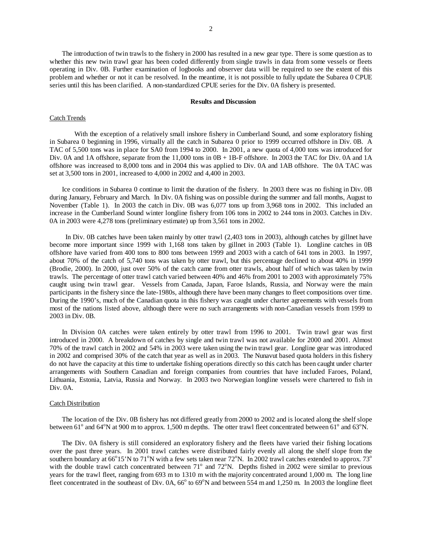The introduction of twin trawls to the fishery in 2000 has resulted in a new gear type. There is some question as to whether this new twin trawl gear has been coded differently from single trawls in data from some vessels or fleets operating in Div. 0B. Further examination of logbooks and observer data will be required to see the extent of this problem and whether or not it can be resolved. In the meantime, it is not possible to fully update the Subarea 0 CPUE series until this has been clarified. A non-standardized CPUE series for the Div. 0A fishery is presented.

#### **Results and Discussion**

#### Catch Trends

With the exception of a relatively small inshore fishery in Cumberland Sound, and some exploratory fishing in Subarea 0 beginning in 1996, virtually all the catch in Subarea 0 prior to 1999 occurred offshore in Div. 0B. A TAC of 5,500 tons was in place for SA0 from 1994 to 2000. In 2001, a new quota of 4,000 tons was introduced for Div. 0A and 1A offshore, separate from the 11,000 tons in  $OB + 1B$ -F offshore. In 2003 the TAC for Div. 0A and 1A offshore was increased to 8,000 tons and in 2004 this was applied to Div. 0A and 1AB offshore. The 0A TAC was set at 3,500 tons in 2001, increased to 4,000 in 2002 and 4,400 in 2003.

Ice conditions in Subarea 0 continue to limit the duration of the fishery. In 2003 there was no fishing in Div. 0B during January, February and March. In Div. 0A fishing was on possible during the summer and fall months, August to November (Table 1). In 2003 the catch in Div. 0B was 6,077 tons up from 3,968 tons in 2002. This included an increase in the Cumberland Sound winter longline fishery from 106 tons in 2002 to 244 tons in 2003. Catches in Div. 0A in 2003 were 4,278 tons (preliminary estimate) up from 3,561 tons in 2002.

 In Div. 0B catches have been taken mainly by otter trawl (2,403 tons in 2003), although catches by gillnet have become more important since 1999 with 1,168 tons taken by gillnet in 2003 (Table 1). Longline catches in 0B offshore have varied from 400 tons to 800 tons between 1999 and 2003 with a catch of 641 tons in 2003. In 1997, about 70% of the catch of 5,740 tons was taken by otter trawl, but this percentage declined to about 40% in 1999 (Brodie, 2000). In 2000, just over 50% of the catch came from otter trawls, about half of which was taken by twin trawls. The percentage of otter trawl catch varied between 40% and 46% from 2001 to 2003 with approximately 75% caught using twin trawl gear. Vessels from Canada, Japan, Faroe Islands, Russia, and Norway were the main participants in the fishery since the late-1980s, although there have been many changes to fleet compositions over time. During the 1990's, much of the Canadian quota in this fishery was caught under charter agreements with vessels from most of the nations listed above, although there were no such arrangements with non-Canadian vessels from 1999 to 2003 in Div. 0B.

In Division 0A catches were taken entirely by otter trawl from 1996 to 2001. Twin trawl gear was first introduced in 2000. A breakdown of catches by single and twin trawl was not available for 2000 and 2001. Almost 70% of the trawl catch in 2002 and 54% in 2003 were taken using the twin trawl gear. Longline gear was introduced in 2002 and comprised 30% of the catch that year as well as in 2003. The Nunavut based quota holders in this fishery do not have the capacity at this time to undertake fishing operations directly so this catch has been caught under charter arrangements with Southern Canadian and foreign companies from countries that have included Faroes, Poland, Lithuania, Estonia, Latvia, Russia and Norway. In 2003 two Norwegian longline vessels were chartered to fish in Div. 0A.

#### Catch Distribution

The location of the Div. 0B fishery has not differed greatly from 2000 to 2002 and is located along the shelf slope between  $61^\circ$  and  $64^\circ$ N at 900 m to approx. 1,500 m depths. The otter trawl fleet concentrated between  $61^\circ$  and  $63^\circ$ N.

The Div. 0A fishery is still considered an exploratory fishery and the fleets have varied their fishing locations over the past three years. In 2001 trawl catches were distributed fairly evenly all along the shelf slope from the southern boundary at  $66^{\circ}15'$ N to  $71^{\circ}$ N with a few sets taken near  $72^{\circ}$ N. In 2002 trawl catches extended to approx.  $73^{\circ}$ with the double trawl catch concentrated between  $71^{\circ}$  and  $72^{\circ}$ N. Depths fished in 2002 were similar to previous years for the trawl fleet, ranging from 693 m to 1310 m with the majority concentrated around 1,000 m. The long line fleet concentrated in the southeast of Div. 0A,  $66^{\circ}$  to  $69^{\circ}$ N and between 554 m and 1,250 m. In 2003 the longline fleet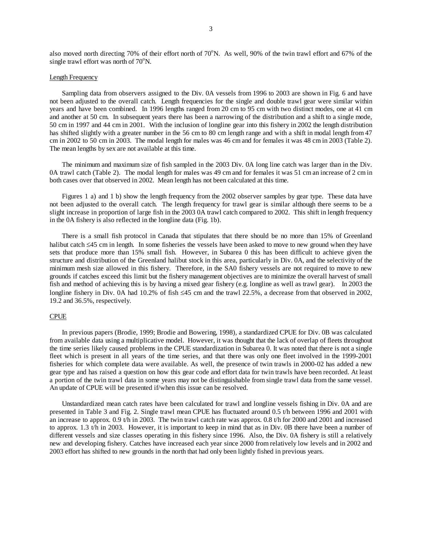also moved north directing 70% of their effort north of 70°N. As well, 90% of the twin trawl effort and 67% of the single trawl effort was north of  $70^{\circ}$ N.

### Length Frequency

 Sampling data from observers assigned to the Div. 0A vessels from 1996 to 2003 are shown in Fig. 6 and have not been adjusted to the overall catch. Length frequencies for the single and double trawl gear were similar within years and have been combined. In 1996 lengths ranged from 20 cm to 95 cm with two distinct modes, one at 41 cm and another at 50 cm. In subsequent years there has been a narrowing of the distribution and a shift to a single mode, 50 cm in 1997 and 44 cm in 2001. With the inclusion of longline gear into this fishery in 2002 the length distribution has shifted slightly with a greater number in the 56 cm to 80 cm length range and with a shift in modal length from 47 cm in 2002 to 50 cm in 2003. The modal length for males was 46 cm and for females it was 48 cm in 2003 (Table 2). The mean lengths by sex are not available at this time.

The minimum and maximum size of fish sampled in the 2003 Div. 0A long line catch was larger than in the Div. 0A trawl catch (Table 2). The modal length for males was 49 cm and for females it was 51 cm an increase of 2 cm in both cases over that observed in 2002. Mean length has not been calculated at this time.

Figures 1 a) and 1 b) show the length frequency from the 2002 observer samples by gear type. These data have not been adjusted to the overall catch. The length frequency for trawl gear is similar although there seems to be a slight increase in proportion of large fish in the 2003 0A trawl catch compared to 2002. This shift in length frequency in the 0A fishery is also reflected in the longline data (Fig. 1b).

There is a small fish protocol in Canada that stipulates that there should be no more than 15% of Greenland halibut catch ≤45 cm in length. In some fisheries the vessels have been asked to move to new ground when they have sets that produce more than 15% small fish. However, in Subarea 0 this has been difficult to achieve given the structure and distribution of the Greenland halibut stock in this area, particularly in Div. 0A, and the selectivity of the minimum mesh size allowed in this fishery. Therefore, in the SA0 fishery vessels are not required to move to new grounds if catches exceed this limit but the fishery management objectives are to minimize the overall harvest of small fish and method of achieving this is by having a mixed gear fishery (e.g. longline as well as trawl gear). In 2003 the longline fishery in Div. 0A had 10.2% of fish ≤45 cm and the trawl 22.5%, a decrease from that observed in 2002, 19.2 and 36.5%, respectively.

### CPUE

In previous papers (Brodie, 1999; Brodie and Bowering, 1998), a standardized CPUE for Div. 0B was calculated from available data using a multiplicative model. However, it was thought that the lack of overlap of fleets throughout the time series likely caused problems in the CPUE standardization in Subarea 0. It was noted that there is not a single fleet which is present in all years of the time series, and that there was only one fleet involved in the 1999-2001 fisheries for which complete data were available. As well, the presence of twin trawls in 2000-02 has added a new gear type and has raised a question on how this gear code and effort data for twin trawls have been recorded. At least a portion of the twin trawl data in some years may not be distinguishable from single trawl data from the same vessel. An update of CPUE will be presented if/when this issue can be resolved.

Unstandardized mean catch rates have been calculated for trawl and longline vessels fishing in Div. 0A and are presented in Table 3 and Fig. 2. Single trawl mean CPUE has fluctuated around 0.5 t/h between 1996 and 2001 with an increase to approx. 0.9 t/h in 2003. The twin trawl catch rate was approx. 0.8 t/h for 2000 and 2001 and increased to approx. 1.3 t/h in 2003. However, it is important to keep in mind that as in Div. 0B there have been a number of different vessels and size classes operating in this fishery since 1996. Also, the Div. 0A fishery is still a relatively new and developing fishery. Catches have increased each year since 2000 from relatively low levels and in 2002 and 2003 effort has shifted to new grounds in the north that had only been lightly fished in previous years.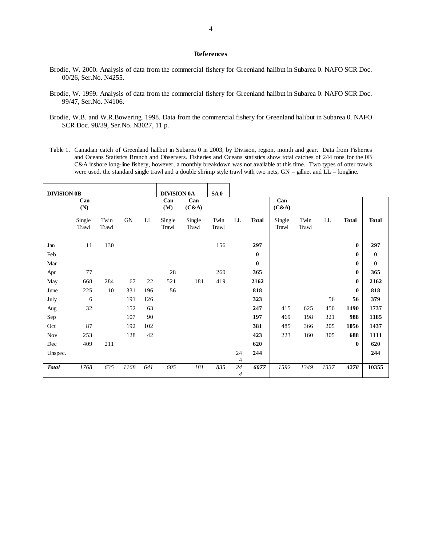#### **References**

- Brodie, W. 2000. Analysis of data from the commercial fishery for Greenland halibut in Subarea 0. NAFO SCR Doc. 00/26, Ser.No. N4255.
- Brodie, W. 1999. Analysis of data from the commercial fishery for Greenland halibut in Subarea 0. NAFO SCR Doc. 99/47, Ser.No. N4106.
- Brodie, W.B. and W.R.Bowering. 1998. Data from the commercial fishery for Greenland halibut in Subarea 0. NAFO SCR Doc. 98/39, Ser.No. N3027, 11 p.
- Table 1. Canadian catch of Greenland halibut in Subarea 0 in 2003, by Division, region, month and gear. Data from Fisheries and Oceans Statistics Branch and Observers. Fisheries and Oceans statistics show total catches of 244 tons for the 0B C&A inshore long-line fishery, however, a monthly breakdown was not available at this time. Two types of otter trawls were used, the standard single trawl and a double shrimp style trawl with two nets,  $GN =$  gillnet and  $LL =$  longline.

| <b>DIVISION 0B</b> | Can<br>(N)      |               |      |     | <b>DIVISION 0A</b><br>Can<br>(M) | Can<br>(C&A)    | SA <sub>0</sub> |         |              | Can<br>(C&A)    |               |      |              |              |
|--------------------|-----------------|---------------|------|-----|----------------------------------|-----------------|-----------------|---------|--------------|-----------------|---------------|------|--------------|--------------|
|                    | Single<br>Trawl | Twin<br>Trawl | GN   | LL  | Single<br>Trawl                  | Single<br>Trawl | Twin<br>Trawl   | LL      | <b>Total</b> | Single<br>Trawl | Twin<br>Trawl | LL   | <b>Total</b> | <b>Total</b> |
| Jan                | 11              | 130           |      |     |                                  |                 | 156             |         | 297          |                 |               |      | $\bf{0}$     | 297          |
| Feb                |                 |               |      |     |                                  |                 |                 |         | $\bf{0}$     |                 |               |      | $\bf{0}$     | $\bf{0}$     |
| Mar                |                 |               |      |     |                                  |                 |                 |         | $\bf{0}$     |                 |               |      | 0            | $\bf{0}$     |
| Apr                | 77              |               |      |     | 28                               |                 | 260             |         | 365          |                 |               |      | $\bf{0}$     | 365          |
| May                | 668             | 284           | 67   | 22  | 521                              | 181             | 419             |         | 2162         |                 |               |      | $\bf{0}$     | 2162         |
| June               | 225             | 10            | 331  | 196 | 56                               |                 |                 |         | 818          |                 |               |      | $\bf{0}$     | 818          |
| July               | 6               |               | 191  | 126 |                                  |                 |                 |         | 323          |                 |               | 56   | 56           | 379          |
| Aug                | 32              |               | 152  | 63  |                                  |                 |                 |         | 247          | 415             | 625           | 450  | 1490         | 1737         |
| Sep                |                 |               | 107  | 90  |                                  |                 |                 |         | 197          | 469             | 198           | 321  | 988          | 1185         |
| Oct                | 87              |               | 192  | 102 |                                  |                 |                 |         | 381          | 485             | 366           | 205  | 1056         | 1437         |
| Nov                | 253             |               | 128  | 42  |                                  |                 |                 |         | 423          | 223             | 160           | 305  | 688          | 1111         |
| Dec                | 409             | 211           |      |     |                                  |                 |                 |         | 620          |                 |               |      | $\bf{0}$     | 620          |
| Unspec.            |                 |               |      |     |                                  |                 |                 | 24<br>4 | 244          |                 |               |      |              | 244          |
| <b>Total</b>       | 1768            | 635           | 1168 | 641 | 605                              | 181             | 835             | 24<br>4 | 6077         | 1592            | 1349          | 1337 | 4278         | 10355        |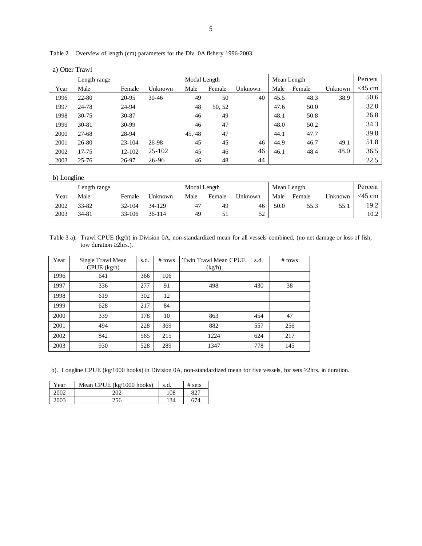|      | a) Otter Trawl |        |            |              |        |         |      |             |         |           |
|------|----------------|--------|------------|--------------|--------|---------|------|-------------|---------|-----------|
|      | Length range   |        |            | Modal Length |        |         |      | Mean Length |         | Percent   |
| Year | Male           | Female | Unknown    | Male         | Female | Unknown | Male | Female      | Unknown | $<$ 45 cm |
| 1996 | 22-80          | 20-95  | $30 - 46$  | 49           | 50     | 40      | 45.5 | 48.3        | 38.9    | 50.6      |
| 1997 | 24-78          | 24-94  |            | 48           | 50, 52 |         | 47.6 | 50.0        |         | 32.0      |
| 1998 | $30 - 75$      | 30-87  |            | 46           | 49     |         | 48.1 | 50.8        |         | 26.8      |
| 1999 | 30-81          | 30-99  |            | 46           | 47     |         | 48.0 | 50.2        |         | 34.3      |
| 2000 | $27 - 68$      | 28-94  |            | 45, 48       | 47     |         | 44.1 | 47.7        |         | 39.8      |
| 2001 | 26-80          | 23-104 | 26-98      | 45           | 45     | 46      | 44.9 | 46.7        | 49.1    | 51.8      |
| 2002 | 17-75          | 12-102 | $25 - 102$ | 45           | 46     | 46      | 46.1 | 48.4        | 48.0    | 36.5      |
| 2003 | $25 - 76$      | 26-97  | 26-96      | 46           | 48     | 44      |      |             |         | 22.5      |

Table 2 . Overview of length (cm) parameters for the Div. 0A fishery 1996-2003.

b) Longline

|      | Length range |        |         | Modal Length |        |         | Mean Length |        |         | Percent  |
|------|--------------|--------|---------|--------------|--------|---------|-------------|--------|---------|----------|
| Year | Male         | Female | Unknown | Male         | Female | Jnknown | Male        | Female | Unknown | $<45$ cm |
| 2002 | 33-82        | 32-104 | 34-129  | 47           | 49     | 46      | 50.0        | 55.3   | 55.1    | 19.2     |
| 2003 | 34-81        | 33-106 | 36-114  | 49           |        | 52      |             |        |         | 10.2     |

Table 3 a). Trawl CPUE (kg/h) in Division 0A, non-standardized mean for all vessels combined, (no net damage or loss of fish, tow duration ≥2hrs.).

| Year | Single Trawl Mean | s.d. | # tows | Twin Trawl Mean CPUE | s.d. | $#$ tows |
|------|-------------------|------|--------|----------------------|------|----------|
|      | $CPUE$ (kg/h)     |      |        | (kg/h)               |      |          |
| 1996 | 641               | 366  | 106    |                      |      |          |
| 1997 | 336               | 277  | 91     | 498                  | 430  | 38       |
| 1998 | 619               | 302  | 12     |                      |      |          |
| 1999 | 628               | 217  | 84     |                      |      |          |
| 2000 | 339               | 178  | 10     | 863                  | 454  | 47       |
| 2001 | 494               | 228  | 369    | 882                  | 557  | 256      |
| 2002 | 842               | 565  | 215    | 1224                 | 624  | 217      |
| 2003 | 930               | 528  | 289    | 1347                 | 778  | 145      |

b). Longline CPUE (kg/1000 hooks) in Division 0A, non-standardized mean for five vessels, for sets ≥2hrs. in duration.

| Year | Mean CPUE (kg/1000 hooks) | s.d. | # sets |
|------|---------------------------|------|--------|
| 2002 | 202                       | 108  |        |
| 2003 | 256                       | 134  | 674    |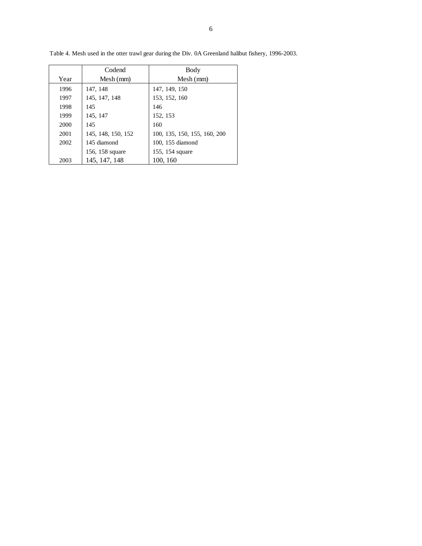|      | Codend             | Body                         |
|------|--------------------|------------------------------|
| Year | $Mesh$ (mm)        | Mesh (mm)                    |
| 1996 | 147, 148           | 147, 149, 150                |
| 1997 | 145, 147, 148      | 153, 152, 160                |
| 1998 | 145                | 146                          |
| 1999 | 145, 147           | 152, 153                     |
| 2000 | 145                | 160                          |
| 2001 | 145, 148, 150, 152 | 100, 135, 150, 155, 160, 200 |
| 2002 | 145 diamond        | 100, 155 diamond             |
|      | 156, 158 square    | 155, 154 square              |
| 2003 | 145, 147, 148      | 100, 160                     |

Table 4. Mesh used in the otter trawl gear during the Div. 0A Greenland halibut fishery, 1996-2003.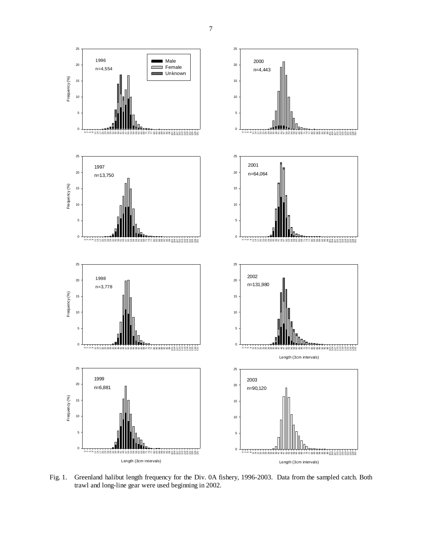

Fig. 1. Greenland halibut length frequency for the Div. 0A fishery, 1996-2003. Data from the sampled catch. Both trawl and long-line gear were used beginning in 2002.